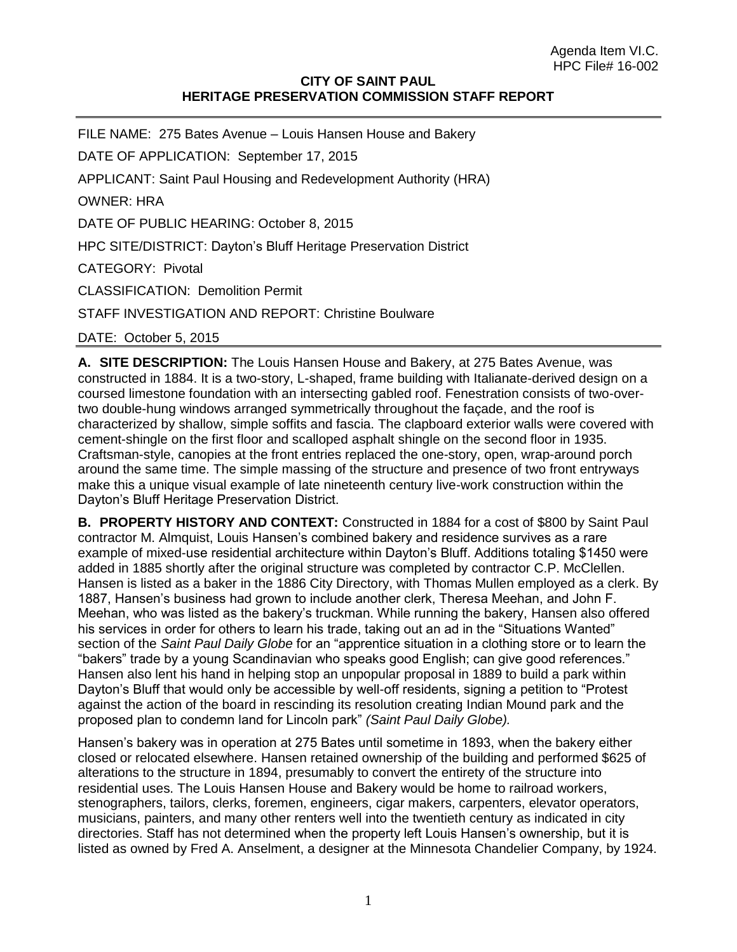# **CITY OF SAINT PAUL HERITAGE PRESERVATION COMMISSION STAFF REPORT**

FILE NAME: 275 Bates Avenue – Louis Hansen House and Bakery DATE OF APPLICATION: September 17, 2015 APPLICANT: Saint Paul Housing and Redevelopment Authority (HRA) OWNER: HRA DATE OF PUBLIC HEARING: October 8, 2015 HPC SITE/DISTRICT: Dayton's Bluff Heritage Preservation District CATEGORY: Pivotal CLASSIFICATION: Demolition Permit STAFF INVESTIGATION AND REPORT: Christine Boulware

DATE: October 5, 2015

**A. SITE DESCRIPTION:** The Louis Hansen House and Bakery, at 275 Bates Avenue, was constructed in 1884. It is a two-story, L-shaped, frame building with Italianate-derived design on a coursed limestone foundation with an intersecting gabled roof. Fenestration consists of two-overtwo double-hung windows arranged symmetrically throughout the façade, and the roof is characterized by shallow, simple soffits and fascia. The clapboard exterior walls were covered with cement-shingle on the first floor and scalloped asphalt shingle on the second floor in 1935. Craftsman-style, canopies at the front entries replaced the one-story, open, wrap-around porch around the same time. The simple massing of the structure and presence of two front entryways make this a unique visual example of late nineteenth century live-work construction within the Dayton's Bluff Heritage Preservation District.

**B. PROPERTY HISTORY AND CONTEXT:** Constructed in 1884 for a cost of \$800 by Saint Paul contractor M. Almquist, Louis Hansen's combined bakery and residence survives as a rare example of mixed-use residential architecture within Dayton's Bluff. Additions totaling \$1450 were added in 1885 shortly after the original structure was completed by contractor C.P. McClellen. Hansen is listed as a baker in the 1886 City Directory, with Thomas Mullen employed as a clerk. By 1887, Hansen's business had grown to include another clerk, Theresa Meehan, and John F. Meehan, who was listed as the bakery's truckman. While running the bakery, Hansen also offered his services in order for others to learn his trade, taking out an ad in the "Situations Wanted" section of the *Saint Paul Daily Globe* for an "apprentice situation in a clothing store or to learn the "bakers" trade by a young Scandinavian who speaks good English; can give good references." Hansen also lent his hand in helping stop an unpopular proposal in 1889 to build a park within Dayton's Bluff that would only be accessible by well-off residents, signing a petition to "Protest against the action of the board in rescinding its resolution creating Indian Mound park and the proposed plan to condemn land for Lincoln park" *(Saint Paul Daily Globe).*

Hansen's bakery was in operation at 275 Bates until sometime in 1893, when the bakery either closed or relocated elsewhere. Hansen retained ownership of the building and performed \$625 of alterations to the structure in 1894, presumably to convert the entirety of the structure into residential uses. The Louis Hansen House and Bakery would be home to railroad workers, stenographers, tailors, clerks, foremen, engineers, cigar makers, carpenters, elevator operators, musicians, painters, and many other renters well into the twentieth century as indicated in city directories. Staff has not determined when the property left Louis Hansen's ownership, but it is listed as owned by Fred A. Anselment, a designer at the Minnesota Chandelier Company, by 1924.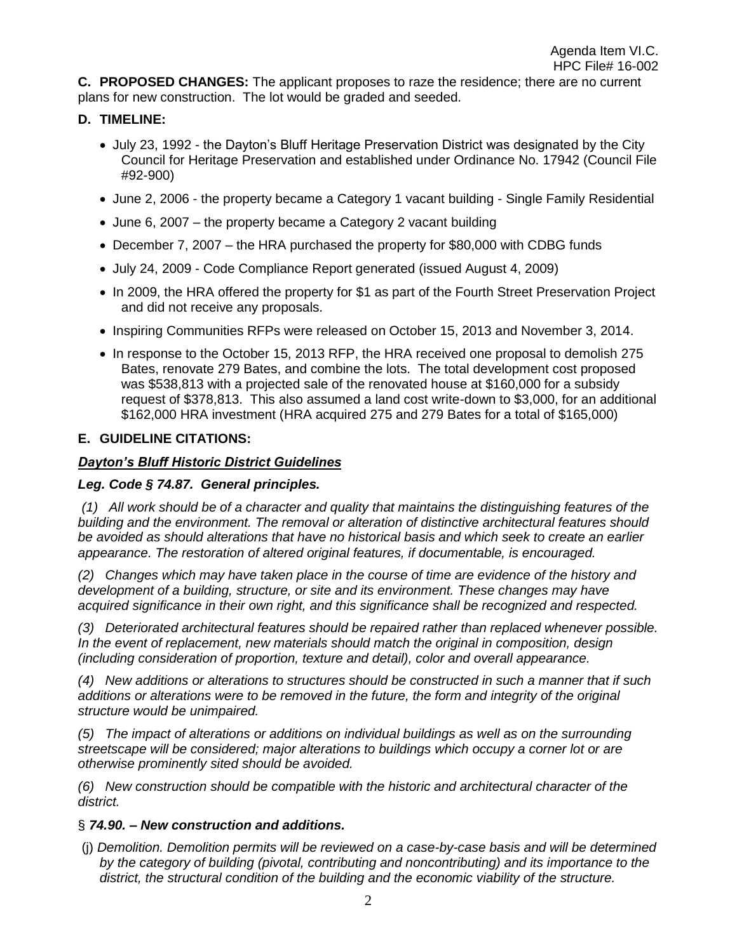**C. PROPOSED CHANGES:** The applicant proposes to raze the residence; there are no current plans for new construction. The lot would be graded and seeded.

# **D. TIMELINE:**

- July 23, 1992 the Dayton's Bluff Heritage Preservation District was designated by the City Council for Heritage Preservation and established under Ordinance No. 17942 (Council File #92-900)
- June 2, 2006 the property became a Category 1 vacant building Single Family Residential
- June 6, 2007 the property became a Category 2 vacant building
- December 7, 2007 the HRA purchased the property for \$80,000 with CDBG funds
- July 24, 2009 Code Compliance Report generated (issued August 4, 2009)
- In 2009, the HRA offered the property for \$1 as part of the Fourth Street Preservation Project and did not receive any proposals.
- Inspiring Communities RFPs were released on October 15, 2013 and November 3, 2014.
- In response to the October 15, 2013 RFP, the HRA received one proposal to demolish 275 Bates, renovate 279 Bates, and combine the lots. The total development cost proposed was \$538,813 with a projected sale of the renovated house at \$160,000 for a subsidy request of \$378,813. This also assumed a land cost write-down to \$3,000, for an additional \$162,000 HRA investment (HRA acquired 275 and 279 Bates for a total of \$165,000)

# **E. GUIDELINE CITATIONS:**

# *Dayton's Bluff Historic District Guidelines*

# *Leg. Code § 74.87. General principles.*

*(1) All work should be of a character and quality that maintains the distinguishing features of the building and the environment. The removal or alteration of distinctive architectural features should be avoided as should alterations that have no historical basis and which seek to create an earlier appearance. The restoration of altered original features, if documentable, is encouraged.*

*(2) Changes which may have taken place in the course of time are evidence of the history and development of a building, structure, or site and its environment. These changes may have acquired significance in their own right, and this significance shall be recognized and respected.*

*(3) Deteriorated architectural features should be repaired rather than replaced whenever possible. In the event of replacement, new materials should match the original in composition, design (including consideration of proportion, texture and detail), color and overall appearance.*

*(4) New additions or alterations to structures should be constructed in such a manner that if such*  additions or alterations were to be removed in the future, the form and integrity of the original *structure would be unimpaired.*

*(5) The impact of alterations or additions on individual buildings as well as on the surrounding streetscape will be considered; major alterations to buildings which occupy a corner lot or are otherwise prominently sited should be avoided.*

*(6) New construction should be compatible with the historic and architectural character of the district.*

# § *74.90. – New construction and additions.*

(j) *Demolition. Demolition permits will be reviewed on a case-by-case basis and will be determined by the category of building (pivotal, contributing and noncontributing) and its importance to the district, the structural condition of the building and the economic viability of the structure.*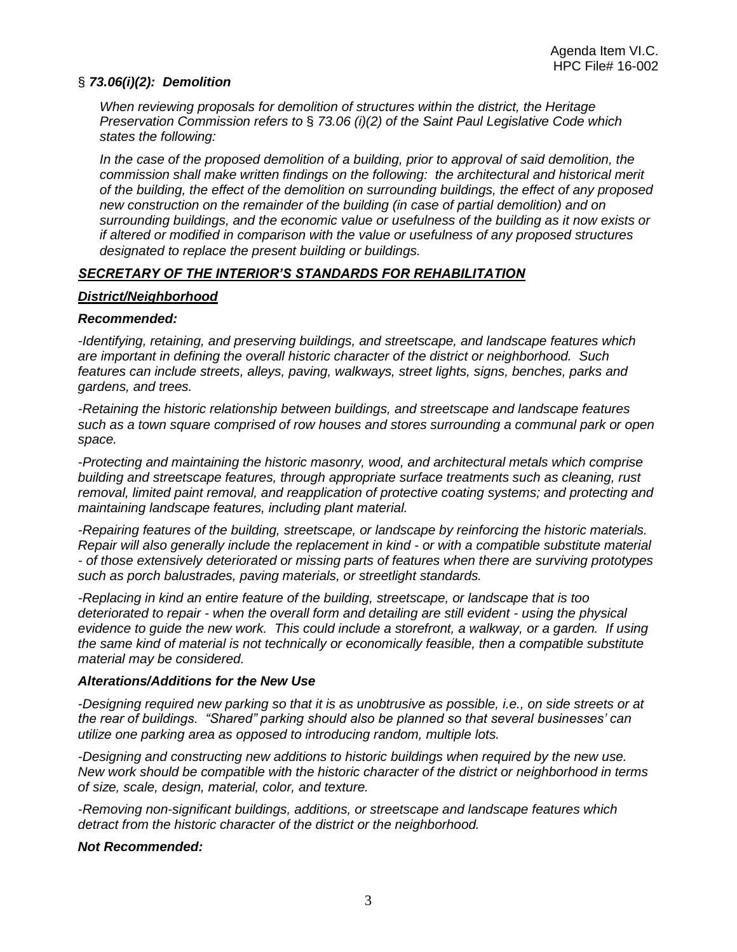# § *73.06(i)(2): Demolition*

*When reviewing proposals for demolition of structures within the district, the Heritage Preservation Commission refers to* § *73.06 (i)(2) of the Saint Paul Legislative Code which states the following:*

*In the case of the proposed demolition of a building, prior to approval of said demolition, the commission shall make written findings on the following: the architectural and historical merit of the building, the effect of the demolition on surrounding buildings, the effect of any proposed new construction on the remainder of the building (in case of partial demolition) and on surrounding buildings, and the economic value or usefulness of the building as it now exists or if altered or modified in comparison with the value or usefulness of any proposed structures designated to replace the present building or buildings.*

# *SECRETARY OF THE INTERIOR'S STANDARDS FOR REHABILITATION*

## *District/Neighborhood*

### *Recommended:*

*-Identifying, retaining, and preserving buildings, and streetscape, and landscape features which are important in defining the overall historic character of the district or neighborhood. Such features can include streets, alleys, paving, walkways, street lights, signs, benches, parks and gardens, and trees.*

*-Retaining the historic relationship between buildings, and streetscape and landscape features such as a town square comprised of row houses and stores surrounding a communal park or open space.*

*-Protecting and maintaining the historic masonry, wood, and architectural metals which comprise building and streetscape features, through appropriate surface treatments such as cleaning, rust removal, limited paint removal, and reapplication of protective coating systems; and protecting and maintaining landscape features, including plant material.*

*-Repairing features of the building, streetscape, or landscape by reinforcing the historic materials. Repair will also generally include the replacement in kind - or with a compatible substitute material - of those extensively deteriorated or missing parts of features when there are surviving prototypes such as porch balustrades, paving materials, or streetlight standards.*

*-Replacing in kind an entire feature of the building, streetscape, or landscape that is too deteriorated to repair - when the overall form and detailing are still evident - using the physical evidence to guide the new work. This could include a storefront, a walkway, or a garden. If using the same kind of material is not technically or economically feasible, then a compatible substitute material may be considered.*

### *Alterations/Additions for the New Use*

*-Designing required new parking so that it is as unobtrusive as possible, i.e., on side streets or at the rear of buildings. "Shared" parking should also be planned so that several businesses' can utilize one parking area as opposed to introducing random, multiple lots.*

*-Designing and constructing new additions to historic buildings when required by the new use. New work should be compatible with the historic character of the district or neighborhood in terms of size, scale, design, material, color, and texture.*

*-Removing non-significant buildings, additions, or streetscape and landscape features which detract from the historic character of the district or the neighborhood.*

### *Not Recommended:*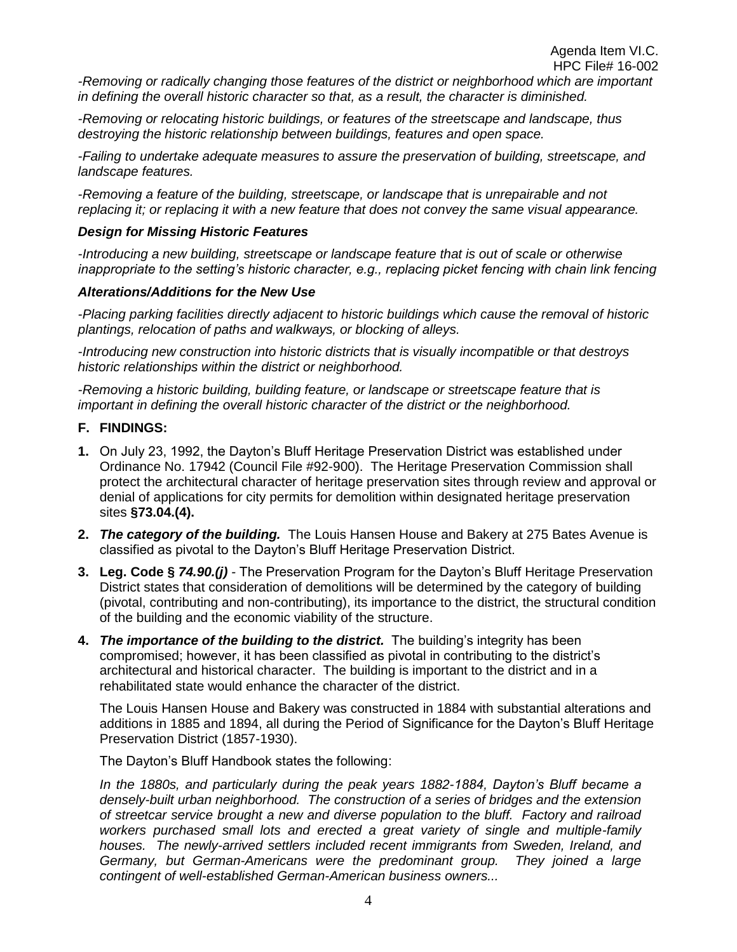*-Removing or radically changing those features of the district or neighborhood which are important in defining the overall historic character so that, as a result, the character is diminished.*

*-Removing or relocating historic buildings, or features of the streetscape and landscape, thus destroying the historic relationship between buildings, features and open space.*

*-Failing to undertake adequate measures to assure the preservation of building, streetscape, and landscape features.*

*-Removing a feature of the building, streetscape, or landscape that is unrepairable and not replacing it; or replacing it with a new feature that does not convey the same visual appearance.*

### *Design for Missing Historic Features*

*-Introducing a new building, streetscape or landscape feature that is out of scale or otherwise inappropriate to the setting's historic character, e.g., replacing picket fencing with chain link fencing*

### *Alterations/Additions for the New Use*

*-Placing parking facilities directly adjacent to historic buildings which cause the removal of historic plantings, relocation of paths and walkways, or blocking of alleys.*

*-Introducing new construction into historic districts that is visually incompatible or that destroys historic relationships within the district or neighborhood.*

*-Removing a historic building, building feature, or landscape or streetscape feature that is important in defining the overall historic character of the district or the neighborhood.*

## **F. FINDINGS:**

- **1.** On July 23, 1992, the Dayton's Bluff Heritage Preservation District was established under Ordinance No. 17942 (Council File #92-900). The Heritage Preservation Commission shall protect the architectural character of heritage preservation sites through review and approval or denial of applications for city permits for demolition within designated heritage preservation sites **§73.04.(4).**
- **2.** *The category of the building.* The Louis Hansen House and Bakery at 275 Bates Avenue is classified as pivotal to the Dayton's Bluff Heritage Preservation District.
- **3. Leg. Code §** *74.90.(j) -* The Preservation Program for the Dayton's Bluff Heritage Preservation District states that consideration of demolitions will be determined by the category of building (pivotal, contributing and non-contributing), its importance to the district, the structural condition of the building and the economic viability of the structure.
- **4.** *The importance of the building to the district.* The building's integrity has been compromised; however, it has been classified as pivotal in contributing to the district's architectural and historical character. The building is important to the district and in a rehabilitated state would enhance the character of the district.

The Louis Hansen House and Bakery was constructed in 1884 with substantial alterations and additions in 1885 and 1894, all during the Period of Significance for the Dayton's Bluff Heritage Preservation District (1857-1930).

The Dayton's Bluff Handbook states the following:

*In the 1880s, and particularly during the peak years 1882-1884, Dayton's Bluff became a densely-built urban neighborhood. The construction of a series of bridges and the extension of streetcar service brought a new and diverse population to the bluff. Factory and railroad workers purchased small lots and erected a great variety of single and multiple-family houses. The newly-arrived settlers included recent immigrants from Sweden, Ireland, and Germany, but German-Americans were the predominant group. They joined a large contingent of well-established German-American business owners...*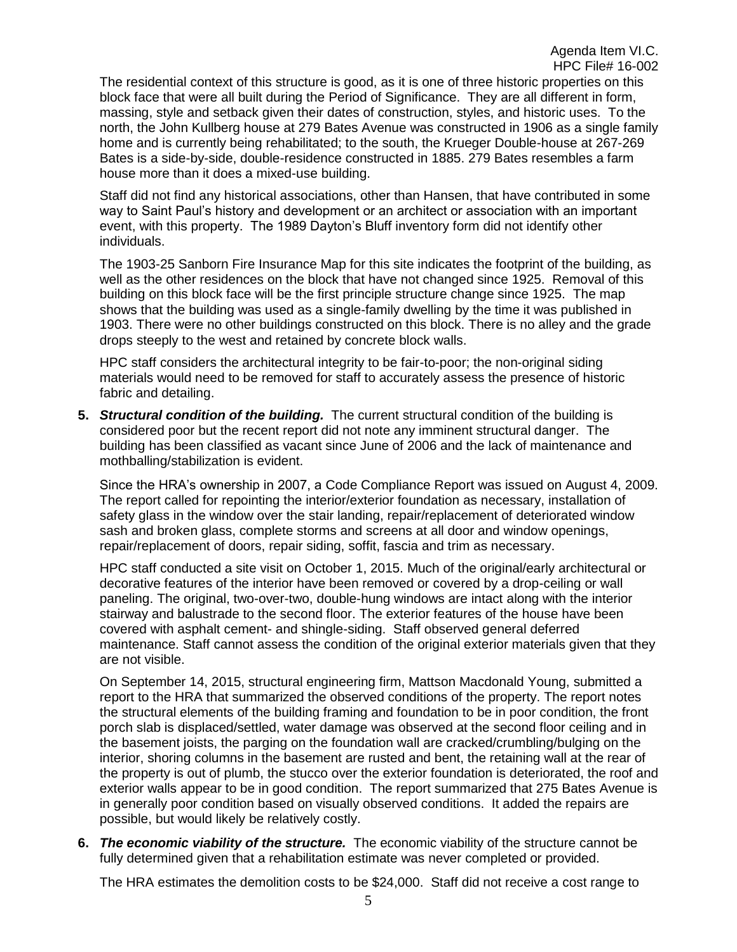The residential context of this structure is good, as it is one of three historic properties on this block face that were all built during the Period of Significance. They are all different in form, massing, style and setback given their dates of construction, styles, and historic uses. To the north, the John Kullberg house at 279 Bates Avenue was constructed in 1906 as a single family home and is currently being rehabilitated; to the south, the Krueger Double-house at 267-269 Bates is a side-by-side, double-residence constructed in 1885. 279 Bates resembles a farm house more than it does a mixed-use building.

Staff did not find any historical associations, other than Hansen, that have contributed in some way to Saint Paul's history and development or an architect or association with an important event, with this property. The 1989 Dayton's Bluff inventory form did not identify other individuals.

The 1903-25 Sanborn Fire Insurance Map for this site indicates the footprint of the building, as well as the other residences on the block that have not changed since 1925. Removal of this building on this block face will be the first principle structure change since 1925. The map shows that the building was used as a single-family dwelling by the time it was published in 1903. There were no other buildings constructed on this block. There is no alley and the grade drops steeply to the west and retained by concrete block walls.

HPC staff considers the architectural integrity to be fair-to-poor; the non-original siding materials would need to be removed for staff to accurately assess the presence of historic fabric and detailing.

**5.** *Structural condition of the building.* The current structural condition of the building is considered poor but the recent report did not note any imminent structural danger. The building has been classified as vacant since June of 2006 and the lack of maintenance and mothballing/stabilization is evident.

Since the HRA's ownership in 2007, a Code Compliance Report was issued on August 4, 2009. The report called for repointing the interior/exterior foundation as necessary, installation of safety glass in the window over the stair landing, repair/replacement of deteriorated window sash and broken glass, complete storms and screens at all door and window openings, repair/replacement of doors, repair siding, soffit, fascia and trim as necessary.

HPC staff conducted a site visit on October 1, 2015. Much of the original/early architectural or decorative features of the interior have been removed or covered by a drop-ceiling or wall paneling. The original, two-over-two, double-hung windows are intact along with the interior stairway and balustrade to the second floor. The exterior features of the house have been covered with asphalt cement- and shingle-siding. Staff observed general deferred maintenance. Staff cannot assess the condition of the original exterior materials given that they are not visible.

On September 14, 2015, structural engineering firm, Mattson Macdonald Young, submitted a report to the HRA that summarized the observed conditions of the property. The report notes the structural elements of the building framing and foundation to be in poor condition, the front porch slab is displaced/settled, water damage was observed at the second floor ceiling and in the basement joists, the parging on the foundation wall are cracked/crumbling/bulging on the interior, shoring columns in the basement are rusted and bent, the retaining wall at the rear of the property is out of plumb, the stucco over the exterior foundation is deteriorated, the roof and exterior walls appear to be in good condition. The report summarized that 275 Bates Avenue is in generally poor condition based on visually observed conditions. It added the repairs are possible, but would likely be relatively costly.

**6.** *The economic viability of the structure.* The economic viability of the structure cannot be fully determined given that a rehabilitation estimate was never completed or provided.

The HRA estimates the demolition costs to be \$24,000. Staff did not receive a cost range to